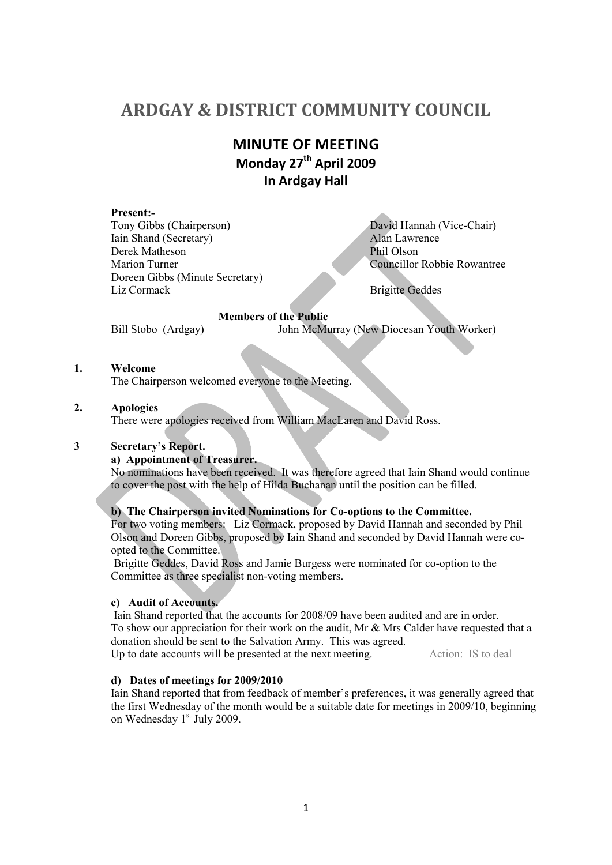# **ARDGAY & DISTRICT COMMUNITY COUNCIL**

# **MINUTE OF MEETING Monday 27th April 2009 In Ardgay Hall**

## **Present:-**

Tony Gibbs (Chairperson)<br>
Iain Shand (Secretary)<br>
Alan Lawrence Iain Shand (Secretary) Derek Matheson<br>Marion Turner Phil Olson<br>Councillor Doreen Gibbs (Minute Secretary) Liz Cormack Brigitte Geddes

**Councillor Robbie Rowantree** 

#### **Members of the Public**

Bill Stobo (Ardgay) John McMurray (New Diocesan Youth Worker)

## **1. Welcome**

The Chairperson welcomed everyone to the Meeting.

#### **2. Apologies**

There were apologies received from William MacLaren and David Ross.

## **3 Secretary's Report.**

## **a) Appointment of Treasurer.**

No nominations have been received. It was therefore agreed that Iain Shand would continue to cover the post with the help of Hilda Buchanan until the position can be filled.

## **b) The Chairperson invited Nominations for Co-options to the Committee.**

For two voting members: Liz Cormack, proposed by David Hannah and seconded by Phil Olson and Doreen Gibbs, proposed by Iain Shand and seconded by David Hannah were coopted to the Committee.

 Brigitte Geddes, David Ross and Jamie Burgess were nominated for co-option to the Committee as three specialist non-voting members.

## **c) Audit of Accounts.**

Iain Shand reported  $\bar{t}$  hat the accounts for 2008/09 have been audited and are in order. To show our appreciation for their work on the audit, Mr & Mrs Calder have requested that a donation should be sent to the Salvation Army. This was agreed.

Up to date accounts will be presented at the next meeting. Action: IS to deal

## **d) Dates of meetings for 2009/2010**

Iain Shand reported that from feedback of member's preferences, it was generally agreed that the first Wednesday of the month would be a suitable date for meetings in 2009/10, beginning on Wednesday  $1<sup>st</sup>$  July 2009.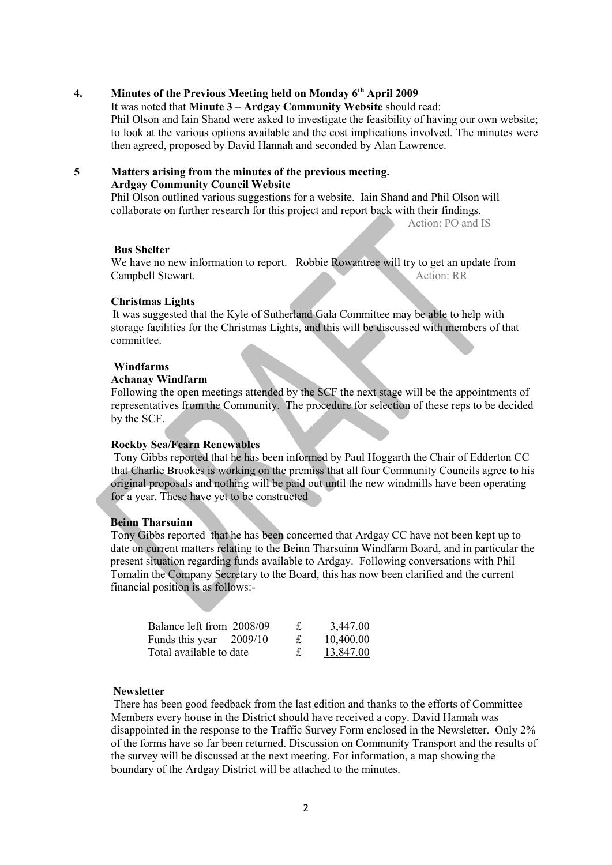# **4. Minutes of the Previous Meeting held on Monday 6th April 2009**

#### It was noted that **Minute 3** – **Ardgay Community Website** should read:

Phil Olson and Iain Shand were asked to investigate the feasibility of having our own website; to look at the various options available and the cost implications involved. The minutes were then agreed, proposed by David Hannah and seconded by Alan Lawrence.

#### **5 Matters arising from the minutes of the previous meeting. Ardgay Community Council Website**

Phil Olson outlined various suggestions for a website. Iain Shand and Phil Olson will collaborate on further research for this project and report back with their findings.

Action: PO and IS

#### **Bus Shelter**

We have no new information to report. Robbie Rowantree will try to get an update from Campbell Stewart Action: RR Campbell Stewart.

#### **Christmas Lights**

It was suggested that the Kyle of Sutherland Gala Committee may be able to help with storage facilities for the Christmas Lights, and this will be discussed with members of that committee.

## **Windfarms**

#### **Achanay Windfarm**

Following the open meetings attended by the SCF the next stage will be the appointments of representatives from the Community. The procedure for selection of these reps to be decided by the SCF.

#### **Rockby Sea/Fearn Renewables**

 Tony Gibbs reported that he has been informed by Paul Hoggarth the Chair of Edderton CC that Charlie Brookes is working on the premiss that all four Community Councils agree to his original proposals and nothing will be paid out until the new windmills have been operating for a year. These have yet to be constructed

#### **Beinn Tharsuinn**

Tony Gibbs reported that he has been concerned that Ardgay CC have not been kept up to date on current matters relating to the Beinn Tharsuinn Windfarm Board, and in particular the present situation regarding funds available to Ardgay. Following conversations with Phil Tomalin the Company Secretary to the Board, this has now been clarified and the current financial position is as follows:-

| Balance left from 2008/09 |  | 3,447.00  |
|---------------------------|--|-----------|
| Funds this year $2009/10$ |  | 10,400.00 |
| Total available to date   |  | 13,847.00 |

#### **Newsletter**

 There has been good feedback from the last edition and thanks to the efforts of Committee Members every house in the District should have received a copy. David Hannah was disappointed in the response to the Traffic Survey Form enclosed in the Newsletter. Only 2% of the forms have so far been returned. Discussion on Community Transport and the results of the survey will be discussed at the next meeting. For information, a map showing the boundary of the Ardgay District will be attached to the minutes.